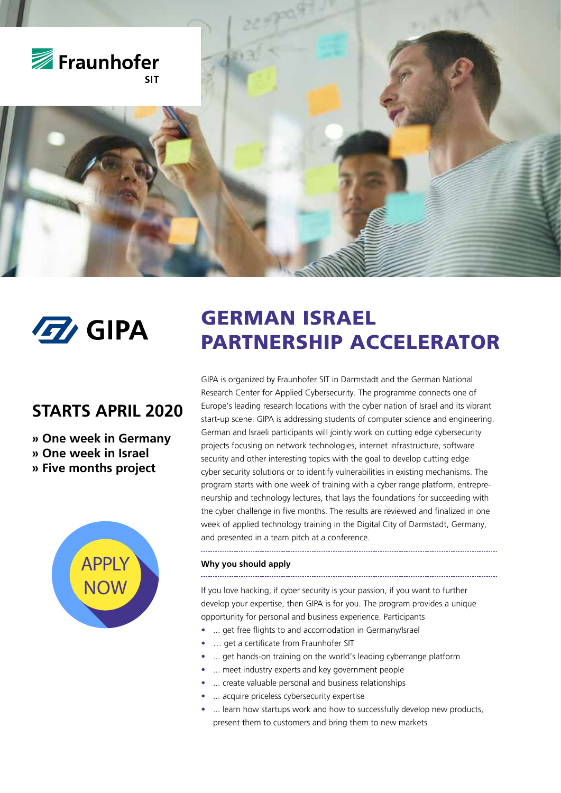

## **STARTS APRIL 2020**

**» One week in Germany » One week in Israel » Five months project**



# **12** GIPA GERMAN ISRAEL PARTNERSHIP ACCELERATOR

GIPA is organized by Fraunhofer SIT in Darmstadt and the German National Research Center for Applied Cybersecurity. The programme connects one of Europe's leading research locations with the cyber nation of Israel and its vibrant start-up scene. GIPA is addressing students of computer science and engineering. German and Israeli participants will jointly work on cutting edge cybersecurity projects focusing on network technologies, internet infrastructure, software security and other interesting topics with the goal to develop cutting edge cyber security solutions or to identify vulnerabilities in existing mechanisms. The program starts with one week of training with a cyber range platform, entrepreneurship and technology lectures, that lays the foundations for succeeding with the cyber challenge in five months. The results are reviewed and finalized in one week of applied technology training in the Digital City of Darmstadt, Germany, and presented in a team pitch at a conference.

#### **Why you should apply**

If you love hacking, if cyber security is your passion, if you want to further develop your expertise, then GIPA is for you. The program provides a unique opportunity for personal and business experience. Participants

- **•** ... get free flights to and accomodation in Germany/Israel
- **•** … get a certificate from Fraunhofer SIT
- **•** ... get hands-on training on the world's leading cyberrange platform
- **•** ... meet industry experts and key government people
- **•** ... create valuable personal and business relationships
- **•** ... acquire priceless cybersecurity expertise
- **•** ... learn how startups work and how to successfully develop new products, present them to customers and bring them to new markets